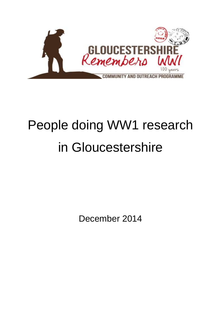

# People doing WW1 research in Gloucestershire

December 2014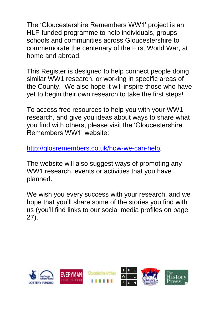The 'Gloucestershire Remembers WW1' project is an HLF-funded programme to help individuals, groups, schools and communities across Gloucestershire to commemorate the centenary of the First World War, at home and abroad.

This Register is designed to help connect people doing similar WW1 research, or working in specific areas of the County. We also hope it will inspire those who have yet to begin their own research to take the first steps!

To access free resources to help you with your WW1 research, and give you ideas about ways to share what you find with others, please visit the 'Gloucestershire Remembers WW1' website:

<http://glosremembers.co.uk/how-we-can-help>.

The website will also suggest ways of promoting any WW1 research, events or activities that you have planned.

We wish you every success with your research, and we hope that you'll share some of the stories you find with us (you'll find links to our social media profiles on page 27).

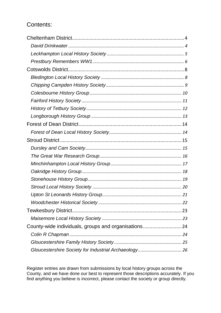# Contents:

| County-wide individuals, groups and organisations24 |  |
|-----------------------------------------------------|--|
|                                                     |  |
|                                                     |  |
|                                                     |  |

Register entries are drawn from submissions by local history groups across the County, and we have done our best to represent those descriptions accurately. If you find anything you believe is incorrect, please contact the society or group directly.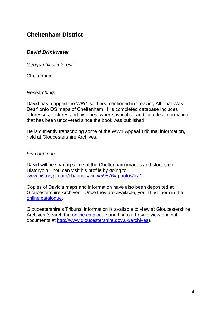# <span id="page-3-0"></span>**Cheltenham District**

## <span id="page-3-1"></span>*David Drinkwater*

*Geographical interest:*

Cheltenham

*Researching:*

David has mapped the WW1 soldiers mentioned in 'Leaving All That Was Dear' onto OS maps of Cheltenham. His completed database includes addresses, pictures and histories, where available, and includes information that has been uncovered since the book was published.

He is currently transcribing some of the WW1 Appeal Tribunal information, held at Gloucestershire Archives

*Find out more:*

David will be sharing some of the Cheltenham images and stories on Historypin. You can visit his profile by going to: [www.historypin.org/channels/view/59576#!photos/list/.](http://www.historypin.org/channels/view/59576#!photos/list/)

Copies of David's maps and information have also been deposited at Gloucestershire Archives. Once they are available, you'll find them in the [online catalogue.](http://ww3.gloucestershire.gov.uk/DServe/DServe.exe?dsqApp=Archive&dsqDb=Catalog&dsqCmd=Index.tcl)

Gloucestershire's Tribunal information is available to view at Gloucestershire Archives (search the [online catalogue](http://ww3.gloucestershire.gov.uk/DServe/DServe.exe?dsqApp=Archive&dsqDb=Catalog&dsqCmd=Index.tcl) and find out how to view original documents at [http://www.gloucestershire.gov.uk/archives\)](http://www.gloucestershire.gov.uk/archives).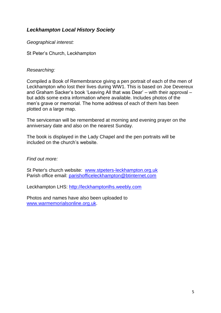# <span id="page-4-0"></span>*Leckhampton Local History Society*

*Geographical interest:*

St Peter's Church, Leckhampton

#### *Researching:*

Compiled a Book of Remembrance giving a pen portrait of each of the men of Leckhampton who lost their lives during WW1. This is based on Joe Devereux and Graham Sacker's book 'Leaving All that was Dear' – with their approval – but adds some extra information where available. Includes photos of the men's grave or memorial. The home address of each of them has been plotted on a large map.

The serviceman will be remembered at morning and evening prayer on the anniversary date and also on the nearest Sunday.

The book is displayed in the Lady Chapel and the pen portraits will be included on the church's website.

*Find out more:*

St Peter's church website: [www.stpeters-leckhampton.org.uk](http://www.stpeters-leckhampton.org.uk/) Parish office email: [parishofficeleckhampton@btinternet.com](mailto:parishofficeleckhampton@btinternet.com)

Leckhampton LHS: [http://leckhamptonlhs.weebly.com](http://leckhamptonlhs.weebly.com/)

Photos and names have also been uploaded to [www.warmemorialsonline.org.uk.](http://www.warmemorialsonline.org.uk/)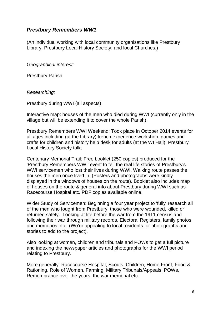## <span id="page-5-0"></span>*Prestbury Remembers WW1*

(An individual working with local community organisations like Prestbury Library, Prestbury Local History Society, and local Churches.)

*Geographical interest:*

Prestbury Parish

*Researching:*

Prestbury during WWI (all aspects).

Interactive map: houses of the men who died during WWI (currently only in the village but will be extending it to cover the whole Parish).

Prestbury Remembers WWI Weekend: Took place in October 2014 events for all ages including (at the Library) trench experience workshop, games and crafts for children and history help desk for adults (at the WI Hall); Prestbury Local History Society talk;

Centenary Memorial Trail: Free booklet (250 copies) produced for the 'Prestbury Remembers WWI' event to tell the real life stories of Prestbury's WWI servicemen who lost their lives during WWI. Walking route passes the houses the men once lived in. (Posters and photographs were kindly displayed in the windows of houses on the route). Booklet also includes map of houses on the route & general info about Prestbury during WWI such as Racecourse Hospital etc. PDF copies available online.

Wider Study of Servicemen: Beginning a four year project to 'fully' research all of the men who fought from Prestbury, those who were wounded, killed or returned safely. Looking at life before the war from the 1911 census and following their war through military records, Electoral Registers, family photos and memories etc. (We're appealing to local residents for photographs and stories to add to the project).

Also looking at women, children and tribunals and POWs to get a full picture and indexing the newspaper articles and photographs for the WWI period relating to Prestbury.

More generally: Racecourse Hospital, Scouts, Children, Home Front, Food & Rationing, Role of Women, Farming, Military Tribunals/Appeals, POWs, Remembrance over the years, the war memorial etc.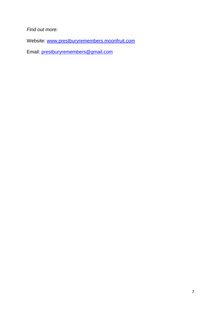*Find out more:*

Website: [www.prestburyremembers.moonfruit.com](http://www.prestburyremembers.moonfruit.com/)

Email: [prestburyremembers@gmail.com](mailto:prestburyremembers@gmail.com)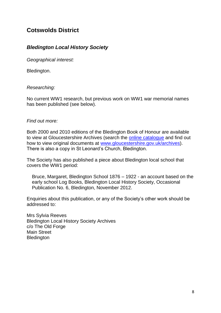# <span id="page-7-0"></span>**Cotswolds District**

# <span id="page-7-1"></span>*Bledington Local History Society*

*Geographical interest:*

Bledington.

#### *Researching:*

No current WW1 research, but previous work on WW1 war memorial names has been published (see below).

#### *Find out more:*

Both 2000 and 2010 editions of the Bledington Book of Honour are available to view at Gloucestershire Archives (search the [online catalogue](http://ww3.gloucestershire.gov.uk/DServe/DServe.exe?dsqApp=Archive&dsqDb=Catalog&dsqCmd=Search.tcl) and find out how to view original documents at [www.gloucestershire.gov.uk/archives\)](http://www.gloucestershire.gov.uk/archives/). There is also a copy in St Leonard's Church, Bledington.

The Society has also published a piece about Bledington local school that covers the WW1 period:

Bruce, Margaret, Bledington School 1876 – 1922 - an account based on the early school Log Books, Bledington Local History Society, Occasional Publication No. 6, Bledington, November 2012.

Enquiries about this publication, or any of the Society's other work should be addressed to:

Mrs Sylvia Reeves Bledington Local History Society Archives c/o The Old Forge Main Street **Bledington**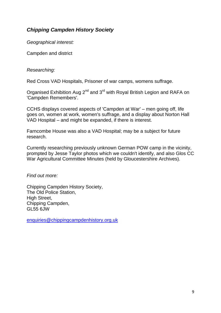# <span id="page-8-0"></span>*Chipping Campden History Society*

*Geographical interest:*

Campden and district

#### *Researching:*

Red Cross VAD Hospitals, Prisoner of war camps, womens suffrage.

Organised Exhibition Aug  $2^{nd}$  and  $3^{rd}$  with Royal British Legion and RAFA on 'Campden Remembers'.

CCHS displays covered aspects of 'Campden at War' – men going off, life goes on, women at work, women's suffrage, and a display about Norton Hall VAD Hospital – and might be expanded, if there is interest.

Farncombe House was also a VAD Hospital; may be a subject for future research.

Currently researching previously unknown German POW camp in the vicinity, prompted by Jesse Taylor photos which we couldn't identify, and also Glos CC War Agricultural Committee Minutes (held by Gloucestershire Archives).

*Find out more:*

Chipping Campden History Society, The Old Police Station, High Street, Chipping Campden, GL55 6JW

[enquiries@chippingcampdenhistory.org.uk](mailto:enquiries@chippingcampdenhistory.org.uk)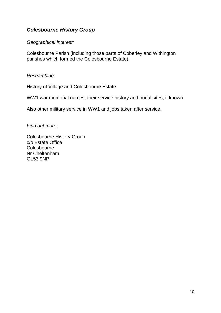# <span id="page-9-0"></span>*Colesbourne History Group*

#### *Geographical interest:*

Colesbourne Parish (including those parts of Coberley and Withington parishes which formed the Colesbourne Estate).

*Researching:*

History of Village and Colesbourne Estate

WW1 war memorial names, their service history and burial sites, if known.

Also other military service in WW1 and jobs taken after service.

*Find out more:*

Colesbourne History Group c/o Estate Office **Colesbourne** Nr Cheltenham GL53 9NP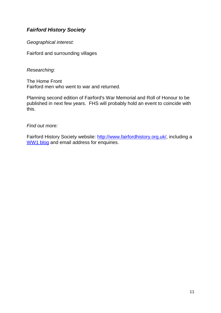# <span id="page-10-0"></span>*Fairford History Society*

*Geographical interest:*

Fairford and surrounding villages

*Researching:*

The Home Front Fairford men who went to war and returned.

Planning second edition of Fairford's War Memorial and Roll of Honour to be published in next few years. FHS will probably hold an event to coincide with this.

*Find out more:*

Fairford History Society website: [http://www.fairfordhistory.org.uk/,](http://www.fairfordhistory.org.uk/) including a [WW1 blog](http://www.fairfordhistory.org.uk/news/wwi/) and email address for enquiries.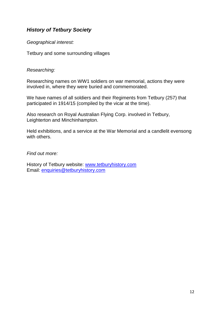# <span id="page-11-0"></span>*History of Tetbury Society*

*Geographical interest:*

Tetbury and some surrounding villages

#### *Researching:*

Researching names on WW1 soldiers on war memorial, actions they were involved in, where they were buried and commemorated.

We have names of all soldiers and their Regiments from Tetbury (257) that participated in 1914/15 (compiled by the vicar at the time).

Also research on Royal Australian Flying Corp. involved in Tetbury, Leighterton and Minchinhampton.

Held exhibitions, and a service at the War Memorial and a candlelit evensong with others.

*Find out more:*

History of Tetbury website: [www.tetburyhistory.com](http://www.tetburyhistory.com/) Email: [enquiries@tetburyhistory.com](mailto:enquiries@tetburyhistory.com)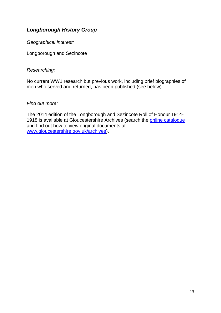# <span id="page-12-0"></span>*Longborough History Group*

*Geographical interest:*

Longborough and Sezincote

#### *Researching:*

No current WW1 research but previous work, including brief biographies of men who served and returned, has been published (see below).

#### *Find out more:*

The 2014 edition of the Longborough and Sezincote Roll of Honour 1914 1918 is available at Gloucestershire Archives (search the [online catalogue](http://ww3.gloucestershire.gov.uk/DServe/DServe.exe?dsqApp=Archive&dsqDb=Catalog&dsqCmd=Search.tcl) and find out how to view original documents at [www.gloucestershire.gov.uk/archives\)](http://www.gloucestershire.gov.uk/archives/).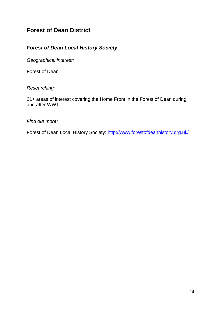# <span id="page-13-0"></span>**Forest of Dean District**

# <span id="page-13-1"></span>*Forest of Dean Local History Society*

*Geographical interest:*

Forest of Dean

*Researching:*

21+ areas of interest covering the Home Front in the Forest of Dean during and after WW1.

*Find out more:*

Forest of Dean Local History Society:<http://www.forestofdeanhistory.org.uk/>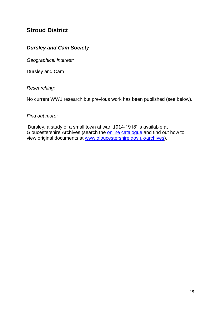# <span id="page-14-0"></span>**Stroud District**

# <span id="page-14-1"></span>*Dursley and Cam Society*

*Geographical interest:*

Dursley and Cam

*Researching:*

No current WW1 research but previous work has been published (see below).

#### *Find out more:*

'Dursley, a study of a small town at war, 1914-1918' is available at Gloucestershire Archives (search the [online catalogue](http://ww3.gloucestershire.gov.uk/DServe/DServe.exe?dsqApp=Archive&dsqDb=Catalog&dsqCmd=Search.tcl) and find out how to view original documents at [www.gloucestershire.gov.uk/archives\)](http://www.gloucestershire.gov.uk/archives/).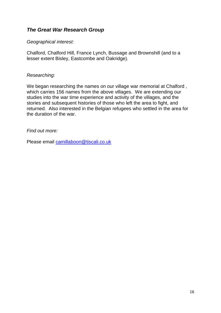## <span id="page-15-0"></span>*The Great War Research Group*

#### *Geographical interest:*

Chalford, Chalford Hill, France Lynch, Bussage and Brownshill (and to a lesser extent Bisley, Eastcombe and Oakridge).

#### *Researching:*

We began researching the names on our village war memorial at Chalford , which carries 156 names from the above villages. We are extending our studies into the war time experience and activity of the villages, and the stories and subsequent histories of those who left the area to fight, and returned. Also interested in the Belgian refugees who settled in the area for the duration of the war.

#### *Find out more:*

Please email [camillaboon@tiscali.co.uk](mailto:camillaboon@tiscali.co.uk)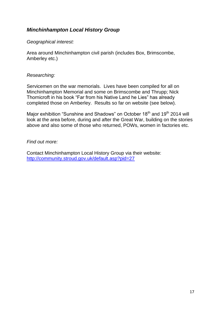# <span id="page-16-0"></span>*Minchinhampton Local History Group*

#### *Geographical interest:*

Area around Minchinhampton civil parish (includes Box, Brimscombe, Amberley etc.)

#### *Researching:*

Servicemen on the war memorials. Lives have been compiled for all on Minchinhampton Memorial and some on Brimscombe and Thrupp; Nick Thornicroft in his book "Far from his Native Land he Lies" has already completed those on Amberley. Results so far on website (see below).

Major exhibition "Sunshine and Shadows" on October 18<sup>th</sup> and 19<sup>th</sup> 2014 will look at the area before, during and after the Great War, building on the stories above and also some of those who returned, POWs, women in factories etc.

#### *Find out more:*

Contact Minchinhampton Local History Group via their website: <http://community.stroud.gov.uk/default.asp?pid=27>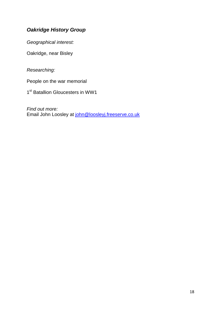# <span id="page-17-0"></span>*Oakridge History Group*

*Geographical interest:*

Oakridge, near Bisley

*Researching:*

People on the war memorial

1<sup>st</sup> Batallion Gloucesters in WW1

*Find out more:* Email John Loosley at [john@loosleyj.freeserve.co.uk](mailto:john@loosleyj.freeserve.co.uk)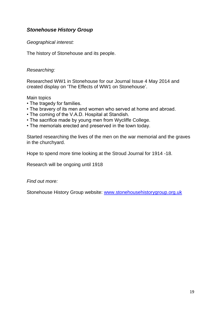## <span id="page-18-0"></span>*Stonehouse History Group*

#### *Geographical interest:*

The history of Stonehouse and its people.

#### *Researching:*

Researched WW1 in Stonehouse for our Journal Issue 4 May 2014 and created display on 'The Effects of WW1 on Stonehouse'.

Main topics

- The tragedy for families.
- The bravery of its men and women who served at home and abroad.
- The coming of the V.A.D. Hospital at Standish.
- The sacrifice made by young men from Wycliffe College.
- The memorials erected and preserved in the town today.

Started researching the lives of the men on the war memorial and the graves in the churchyard.

Hope to spend more time looking at the Stroud Journal for 1914 -18.

Research will be ongoing until 1918

*Find out more:*

Stonehouse History Group website: [www.stonehousehistorygroup.org.uk](http://www.stonehousehistorygroup.org.uk/)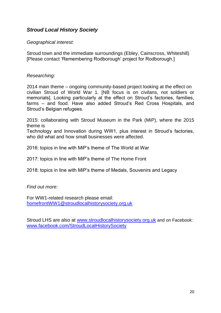## <span id="page-19-0"></span>*Stroud Local History Society*

#### *Geographical interest:*

Stroud town and the immediate surroundings (Ebley, Cainscross, Whiteshill) [Please contact 'Remembering Rodborough' project for Rodborough.]

#### *Researching:*

2014 main theme – ongoing community-based project looking at the effect on civilian Stroud of World War 1. [NB focus is on civilans, not soldiers or memorials]. Looking particularly at the effect on Stroud's factories, families, farms – and food. Have also added Stroud's Red Cross Hospitals, and Stroud's Belgian refugees.

2015: collaborating with Stroud Museum in the Park (MiP), where the 2015 theme is

Technology and Innovation during WW1, plus interest in Stroud's factories, who did what and how small businesses were affected.

2016: topics in line with MiP's theme of The World at War

2017: topics in line with MiP's theme of The Home Front

2018: topics in line with MiP's theme of Medals, Souvenirs and Legacy

#### *Find out more:*

For WW1-related research please email: [homefrontWW1@stroudlocalhistorysociety.org.uk](mailto:homefrontWW1@stroudlocalhistorysociety.org.uk)

Stroud LHS are also at [www.stroudlocalhistorysociety.org.uk](http://www.stroudlocalhistorysociety.org.uk/) and on Facebook: [www.facebook.com/StroudLocalHistorySociety](http://www.facebook.com/StroudLocalHistorySociety)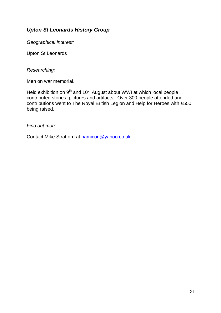# <span id="page-20-0"></span>*Upton St Leonards History Group*

*Geographical interest:*

Upton St Leonards

*Researching:*

Men on war memorial.

Held exhibition on 9<sup>th</sup> and 10<sup>th</sup> August about WWI at which local people contributed stories, pictures and artifacts. Over 300 people attended and contributions went to The Royal British Legion and Help for Heroes with £550 being raised.

*Find out more:*

Contact Mike Stratford at [pamicon@yahoo.co.uk](mailto:pamicon@yahoo.co.uk)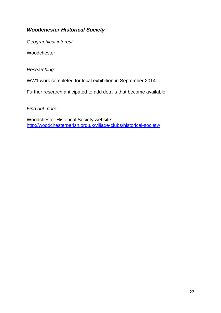# <span id="page-21-0"></span>*Woodchester Historical Society*

*Geographical interest:*

Woodchester

*Researching:*

WW1 work completed for local exhibition in September 2014

Further research anticipated to add details that become available.

*Find out more:*

Woodchester Historical Society website: <http://woodchesterparish.org.uk/village-clubs/historical-society/>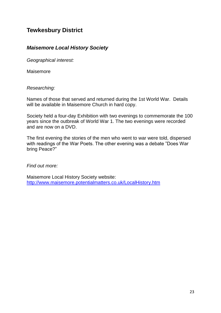# <span id="page-22-0"></span>**Tewkesbury District**

## <span id="page-22-1"></span>*Maisemore Local History Society*

*Geographical interest:*

Maisemore

*Researching:*

Names of those that served and returned during the 1st World War. Details will be available in Maisemore Church in hard copy.

Society held a four-day Exhibition with two evenings to commemorate the 100 years since the outbreak of World War 1. The two evenings were recorded and are now on a DVD.

The first evening the stories of the men who went to war were told, dispersed with readings of the War Poets. The other evening was a debate "Does War bring Peace?"

*Find out more:*

Maisemore Local History Society website: <http://www.maisemore.potentialmatters.co.uk/LocalHistory.htm>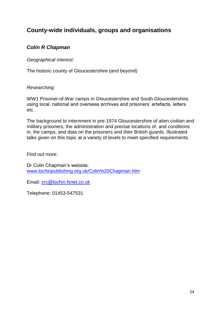# <span id="page-23-0"></span>**County-wide individuals, groups and organisations**

# <span id="page-23-1"></span>*Colin R Chapman*

#### *Geographical interest:*

The historic county of Gloucestershire (and beyond)

#### *Researching:*

WW1 Prisoner-of-War camps in Gloucestershire and South Gloucestershire, using local, national and overseas archives and prisoners' artefacts, letters etc.

The background to internment in pre-1974 Gloucestershire of alien civilian and military prisoners, the administration and precise locations of, and conditions in, the camps, and data on the prisoners and their British guards. Illustrated talks given on this topic at a variety of levels to meet specified requirements.

#### *Find out more:*

Dr Colin Chapman's website: [www.lochinpublishing.org.uk/Colin%20Chapman.htm](http://www.lochinpublishing.org.uk/Colin%20Chapman.htm)

Email: [crc@lochin.fsnet.co.uk](mailto:crc@lochin.fsnet.co.uk)

Telephone: 01453-547531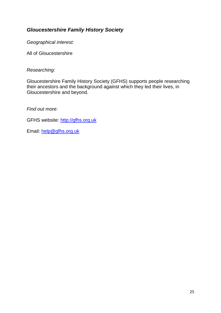# <span id="page-24-0"></span>*Gloucestershire Family History Society*

*Geographical interest:*

All of Gloucestershire

#### *Researching:*

Gloucestershire Family History Society (GFHS) supports people researching their ancestors and the background against which they led their lives, in Gloucestershire and beyond.

*Find out more:*

GFHS website: [http://gfhs.org.uk](http://gfhs.org.uk/)

Email: [help@gfhs.org.uk](mailto:help@gfhs.org.uk)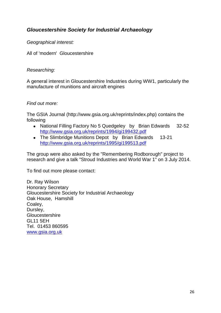# <span id="page-25-0"></span>*Gloucestershire Society for Industrial Archaeology*

*Geographical interest:*

All of 'modern' Gloucestershire

#### *Researching:*

A general interest in Gloucestershire Industries during WW1, particularly the manufacture of munitions and aircraft engines

#### *Find out more:*

The GSIA Journal (http://www.gsia.org.uk/reprints/index.php) contains the following

- National Filling Factory No 5 Quedgeley by Brian Edwards 32-52 <http://www.gsia.org.uk/reprints/1994/gi199432.pdf>
- The Slimbridge Munitions Depot by Brian Edwards 13-21 <http://www.gsia.org.uk/reprints/1995/gi199513.pdf>

The group were also asked by the "Remembering Rodborough" project to research and give a talk "Stroud Industries and World War 1" on 3 July 2014.

To find out more please contact:

Dr. Ray Wilson Honorary Secretary Gloucestershire Society for Industrial Archaeology Oak House, Hamshill Coaley, Dursley, **Gloucestershire** GL11 5EH Tel. 01453 860595 [www.gsia.org.uk](http://www.gsia.org.uk/)